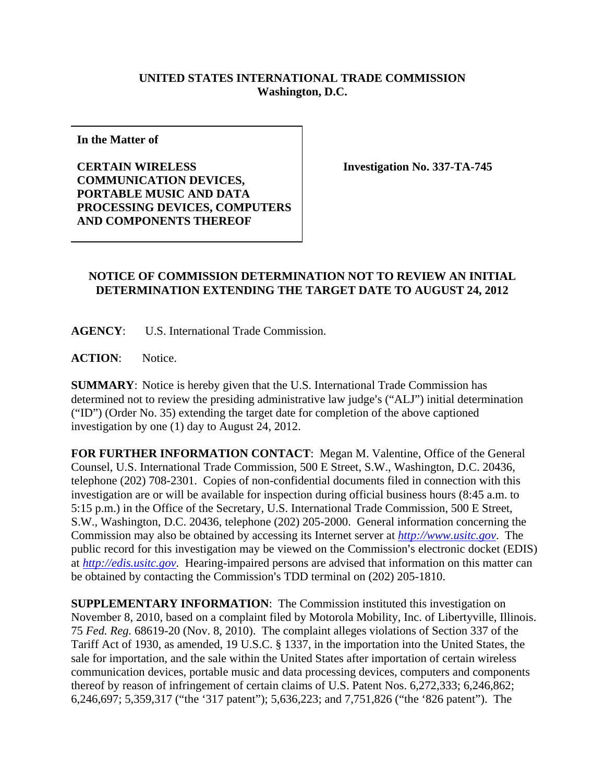## **UNITED STATES INTERNATIONAL TRADE COMMISSION Washington, D.C.**

**In the Matter of** 

**CERTAIN WIRELESS COMMUNICATION DEVICES, PORTABLE MUSIC AND DATA PROCESSING DEVICES, COMPUTERS AND COMPONENTS THEREOF** 

**Investigation No. 337-TA-745** 

## **NOTICE OF COMMISSION DETERMINATION NOT TO REVIEW AN INITIAL DETERMINATION EXTENDING THE TARGET DATE TO AUGUST 24, 2012**

**AGENCY**: U.S. International Trade Commission.

**ACTION**: Notice.

**SUMMARY**: Notice is hereby given that the U.S. International Trade Commission has determined not to review the presiding administrative law judge's ("ALJ") initial determination ("ID") (Order No. 35) extending the target date for completion of the above captioned investigation by one (1) day to August 24, 2012.

**FOR FURTHER INFORMATION CONTACT**: Megan M. Valentine, Office of the General Counsel, U.S. International Trade Commission, 500 E Street, S.W., Washington, D.C. 20436, telephone (202) 708-2301. Copies of non-confidential documents filed in connection with this investigation are or will be available for inspection during official business hours (8:45 a.m. to 5:15 p.m.) in the Office of the Secretary, U.S. International Trade Commission, 500 E Street, S.W., Washington, D.C. 20436, telephone (202) 205-2000. General information concerning the Commission may also be obtained by accessing its Internet server at *http://www.usitc.gov*. The public record for this investigation may be viewed on the Commission's electronic docket (EDIS) at *http://edis.usitc.gov*. Hearing-impaired persons are advised that information on this matter can be obtained by contacting the Commission's TDD terminal on (202) 205-1810.

**SUPPLEMENTARY INFORMATION:** The Commission instituted this investigation on November 8, 2010, based on a complaint filed by Motorola Mobility, Inc. of Libertyville, Illinois. 75 *Fed. Reg.* 68619-20 (Nov. 8, 2010). The complaint alleges violations of Section 337 of the Tariff Act of 1930, as amended, 19 U.S.C. § 1337, in the importation into the United States, the sale for importation, and the sale within the United States after importation of certain wireless communication devices, portable music and data processing devices, computers and components thereof by reason of infringement of certain claims of U.S. Patent Nos. 6,272,333; 6,246,862; 6,246,697; 5,359,317 ("the '317 patent"); 5,636,223; and 7,751,826 ("the '826 patent"). The